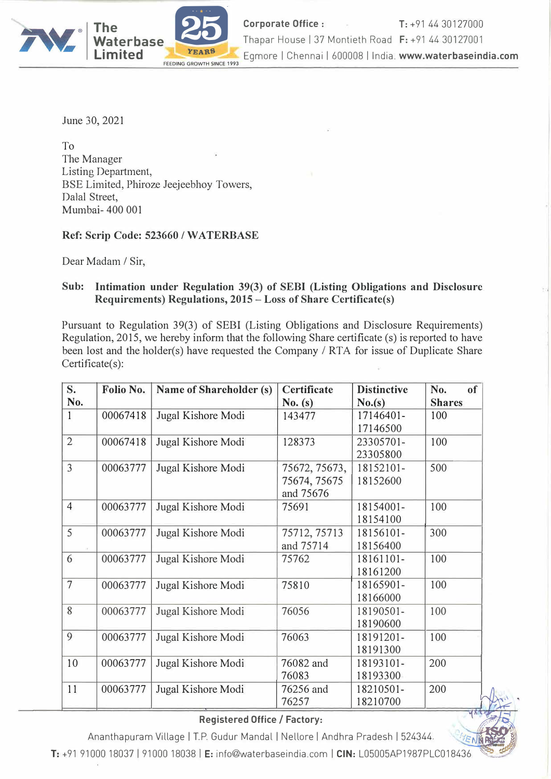

June 30, 2021

To The Manager Listing Department, BSE Limited, Phiroze Jeejeebhoy Towers, Dalal Street, Mumbai- 400 001

## **Ref: Scrip Code: 523660** *I* **WA TERBASE**

Dear Madam / Sir,

## **Sub: Intimation under Regulation 39(3) of SEBI (Listing Obligations and Disclosure Requirements) Regulations, 2015 - Loss of Share Certificate(s)**

Pursuant to Regulation 39(3) of SEBI (Listing Obligations and Disclosure Requirements) Regulation, 2015, we hereby inform that the following Share certificate (s) is reported to have been lost and the holder(s) have requested the Company/ RTA for issue of Duplicate Share Certificate(s):

| S.             | Folio No. | Name of Shareholder (s) | Certificate   | <b>Distinctive</b> | No.<br>of     |
|----------------|-----------|-------------------------|---------------|--------------------|---------------|
| No.            |           |                         | No.(s)        | No.(s)             | <b>Shares</b> |
| $\mathbf{1}$   | 00067418  | Jugal Kishore Modi      | 143477        | 17146401-          | 100           |
|                |           |                         |               | 17146500           |               |
| $\overline{2}$ | 00067418  | Jugal Kishore Modi      | 128373        | 23305701-          | 100           |
|                |           |                         |               | 23305800           |               |
| $\overline{3}$ | 00063777  | Jugal Kishore Modi      | 75672, 75673, | 18152101-          | 500           |
|                |           |                         | 75674, 75675  | 18152600           |               |
|                |           |                         | and 75676     |                    |               |
| $\overline{4}$ | 00063777  | Jugal Kishore Modi      | 75691         | 18154001-          | 100           |
|                |           |                         |               | 18154100           |               |
| 5              | 00063777  | Jugal Kishore Modi      | 75712, 75713  | 18156101-          | 300           |
|                |           |                         | and 75714     | 18156400           |               |
| 6              | 00063777  | Jugal Kishore Modi      | 75762         | 18161101-          | 100           |
|                |           |                         |               | 18161200           |               |
| $\overline{7}$ | 00063777  | Jugal Kishore Modi      | 75810         | 18165901-          | 100           |
|                |           |                         |               | 18166000           |               |
| 8              | 00063777  | Jugal Kishore Modi      | 76056         | 18190501-          | 100           |
|                |           |                         |               | 18190600           |               |
| 9              | 00063777  | Jugal Kishore Modi      | 76063         | 18191201-          | 100           |
|                |           |                         |               | 18191300           |               |
| 10             | 00063777  | Jugal Kishore Modi      | 76082 and     | 18193101-          | 200           |
|                |           |                         | 76083         | 18193300           |               |
| 11             | 00063777  | Jugal Kishore Modi      | 76256 and     | 18210501-          | 200           |
|                |           |                         | 76257         | 18210700           |               |

## **Registered Office/ Factory:**

*,*

 $d$ *i*  $\neq$   $\land$ 

Ananthapuram Village I T.P. Gudur Mandal I Nellore I Andhra Pradesh I 524344.

'ENHANE T: +91 91000 18037 | 91000 18038 | E: info@waterbaseindia.com | CIN: L05005AP1987PLC018436